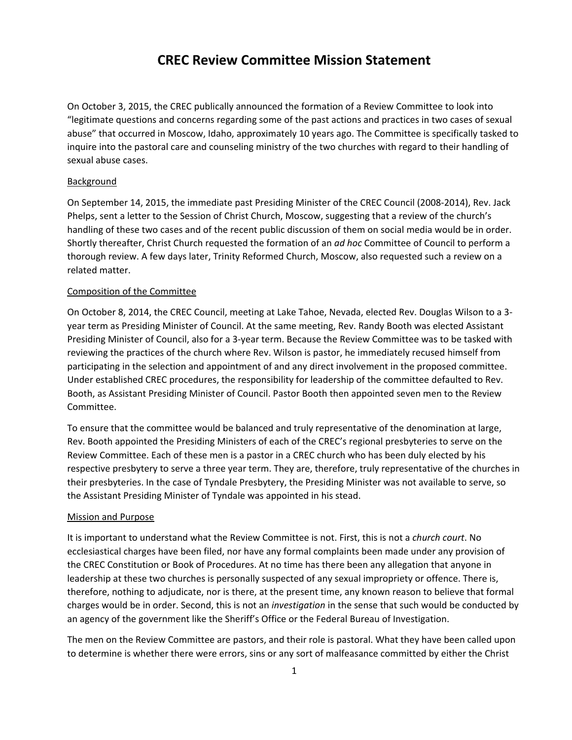## **CREC Review Committee Mission Statement**

On October 3, 2015, the CREC publically announced the formation of a Review Committee to look into "legitimate questions and concerns regarding some of the past actions and practices in two cases of sexual abuse" that occurred in Moscow, Idaho, approximately 10 years ago. The Committee is specifically tasked to inquire into the pastoral care and counseling ministry of the two churches with regard to their handling of sexual abuse cases.

## Background

On September 14, 2015, the immediate past Presiding Minister of the CREC Council (2008‐2014), Rev. Jack Phelps, sent a letter to the Session of Christ Church, Moscow, suggesting that a review of the church's handling of these two cases and of the recent public discussion of them on social media would be in order. Shortly thereafter, Christ Church requested the formation of an *ad hoc* Committee of Council to perform a thorough review. A few days later, Trinity Reformed Church, Moscow, also requested such a review on a related matter.

## Composition of the Committee

On October 8, 2014, the CREC Council, meeting at Lake Tahoe, Nevada, elected Rev. Douglas Wilson to a 3‐ year term as Presiding Minister of Council. At the same meeting, Rev. Randy Booth was elected Assistant Presiding Minister of Council, also for a 3‐year term. Because the Review Committee was to be tasked with reviewing the practices of the church where Rev. Wilson is pastor, he immediately recused himself from participating in the selection and appointment of and any direct involvement in the proposed committee. Under established CREC procedures, the responsibility for leadership of the committee defaulted to Rev. Booth, as Assistant Presiding Minister of Council. Pastor Booth then appointed seven men to the Review Committee.

To ensure that the committee would be balanced and truly representative of the denomination at large, Rev. Booth appointed the Presiding Ministers of each of the CREC's regional presbyteries to serve on the Review Committee. Each of these men is a pastor in a CREC church who has been duly elected by his respective presbytery to serve a three year term. They are, therefore, truly representative of the churches in their presbyteries. In the case of Tyndale Presbytery, the Presiding Minister was not available to serve, so the Assistant Presiding Minister of Tyndale was appointed in his stead.

## Mission and Purpose

It is important to understand what the Review Committee is not. First, this is not a *church court*. No ecclesiastical charges have been filed, nor have any formal complaints been made under any provision of the CREC Constitution or Book of Procedures. At no time has there been any allegation that anyone in leadership at these two churches is personally suspected of any sexual impropriety or offence. There is, therefore, nothing to adjudicate, nor is there, at the present time, any known reason to believe that formal charges would be in order. Second, this is not an *investigation* in the sense that such would be conducted by an agency of the government like the Sheriff's Office or the Federal Bureau of Investigation.

The men on the Review Committee are pastors, and their role is pastoral. What they have been called upon to determine is whether there were errors, sins or any sort of malfeasance committed by either the Christ